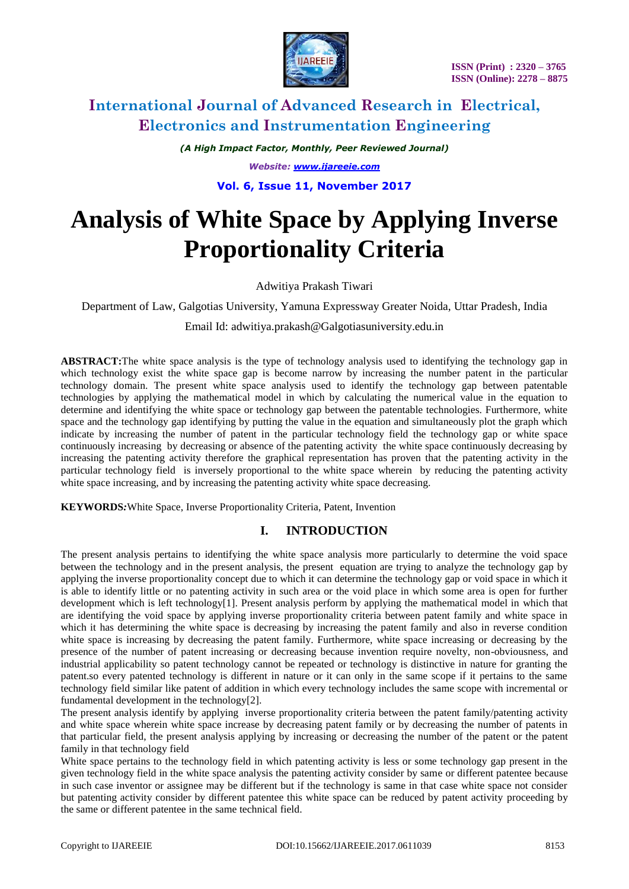

*(A High Impact Factor, Monthly, Peer Reviewed Journal) Website: [www.ijareeie.com](http://www.ijareeie.com/)* **Vol. 6, Issue 11, November 2017**

# **Analysis of White Space by Applying Inverse Proportionality Criteria**

Adwitiya Prakash Tiwari

Department of Law, Galgotias University, Yamuna Expressway Greater Noida, Uttar Pradesh, India

Email Id: adwitiya.prakash@Galgotiasuniversity.edu.in

**ABSTRACT:**The white space analysis is the type of technology analysis used to identifying the technology gap in which technology exist the white space gap is become narrow by increasing the number patent in the particular technology domain. The present white space analysis used to identify the technology gap between patentable technologies by applying the mathematical model in which by calculating the numerical value in the equation to determine and identifying the white space or technology gap between the patentable technologies. Furthermore, white space and the technology gap identifying by putting the value in the equation and simultaneously plot the graph which indicate by increasing the number of patent in the particular technology field the technology gap or white space continuously increasing by decreasing or absence of the patenting activity the white space continuously decreasing by increasing the patenting activity therefore the graphical representation has proven that the patenting activity in the particular technology field is inversely proportional to the white space wherein by reducing the patenting activity white space increasing, and by increasing the patenting activity white space decreasing.

**KEYWORDS***:*White Space, Inverse Proportionality Criteria, Patent, Invention

## **I. INTRODUCTION**

The present analysis pertains to identifying the white space analysis more particularly to determine the void space between the technology and in the present analysis, the present equation are trying to analyze the technology gap by applying the inverse proportionality concept due to which it can determine the technology gap or void space in which it is able to identify little or no patenting activity in such area or the void place in which some area is open for further development which is left technology[1]. Present analysis perform by applying the mathematical model in which that are identifying the void space by applying inverse proportionality criteria between patent family and white space in which it has determining the white space is decreasing by increasing the patent family and also in reverse condition white space is increasing by decreasing the patent family. Furthermore, white space increasing or decreasing by the presence of the number of patent increasing or decreasing because invention require novelty, non-obviousness, and industrial applicability so patent technology cannot be repeated or technology is distinctive in nature for granting the patent.so every patented technology is different in nature or it can only in the same scope if it pertains to the same technology field similar like patent of addition in which every technology includes the same scope with incremental or fundamental development in the technology[2].

The present analysis identify by applying inverse proportionality criteria between the patent family/patenting activity and white space wherein white space increase by decreasing patent family or by decreasing the number of patents in that particular field, the present analysis applying by increasing or decreasing the number of the patent or the patent family in that technology field

White space pertains to the technology field in which patenting activity is less or some technology gap present in the given technology field in the white space analysis the patenting activity consider by same or different patentee because in such case inventor or assignee may be different but if the technology is same in that case white space not consider but patenting activity consider by different patentee this white space can be reduced by patent activity proceeding by the same or different patentee in the same technical field.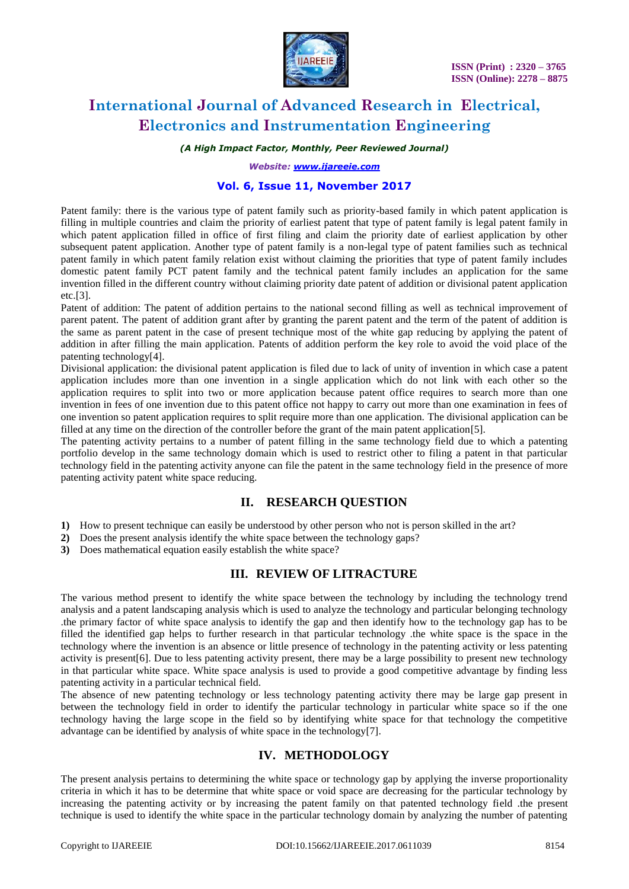

*(A High Impact Factor, Monthly, Peer Reviewed Journal)*

*Website: [www.ijareeie.com](http://www.ijareeie.com/)*

#### **Vol. 6, Issue 11, November 2017**

Patent family: there is the various type of patent family such as priority-based family in which patent application is filling in multiple countries and claim the priority of earliest patent that type of patent family is legal patent family in which patent application filled in office of first filing and claim the priority date of earliest application by other subsequent patent application. Another type of patent family is a non-legal type of patent families such as technical patent family in which patent family relation exist without claiming the priorities that type of patent family includes domestic patent family PCT patent family and the technical patent family includes an application for the same invention filled in the different country without claiming priority date patent of addition or divisional patent application etc.[3].

Patent of addition: The patent of addition pertains to the national second filling as well as technical improvement of parent patent. The patent of addition grant after by granting the parent patent and the term of the patent of addition is the same as parent patent in the case of present technique most of the white gap reducing by applying the patent of addition in after filling the main application. Patents of addition perform the key role to avoid the void place of the patenting technology[4].

Divisional application: the divisional patent application is filed due to lack of unity of invention in which case a patent application includes more than one invention in a single application which do not link with each other so the application requires to split into two or more application because patent office requires to search more than one invention in fees of one invention due to this patent office not happy to carry out more than one examination in fees of one invention so patent application requires to split require more than one application. The divisional application can be filled at any time on the direction of the controller before the grant of the main patent application[5].

The patenting activity pertains to a number of patent filling in the same technology field due to which a patenting portfolio develop in the same technology domain which is used to restrict other to filing a patent in that particular technology field in the patenting activity anyone can file the patent in the same technology field in the presence of more patenting activity patent white space reducing.

### **II. RESEARCH QUESTION**

- **1)** How to present technique can easily be understood by other person who not is person skilled in the art?
- **2)** Does the present analysis identify the white space between the technology gaps?
- **3)** Does mathematical equation easily establish the white space?

### **III. REVIEW OF LITRACTURE**

The various method present to identify the white space between the technology by including the technology trend analysis and a patent landscaping analysis which is used to analyze the technology and particular belonging technology .the primary factor of white space analysis to identify the gap and then identify how to the technology gap has to be filled the identified gap helps to further research in that particular technology .the white space is the space in the technology where the invention is an absence or little presence of technology in the patenting activity or less patenting activity is present[6]. Due to less patenting activity present, there may be a large possibility to present new technology in that particular white space. White space analysis is used to provide a good competitive advantage by finding less patenting activity in a particular technical field.

The absence of new patenting technology or less technology patenting activity there may be large gap present in between the technology field in order to identify the particular technology in particular white space so if the one technology having the large scope in the field so by identifying white space for that technology the competitive advantage can be identified by analysis of white space in the technology[7].

### **IV. METHODOLOGY**

The present analysis pertains to determining the white space or technology gap by applying the inverse proportionality criteria in which it has to be determine that white space or void space are decreasing for the particular technology by increasing the patenting activity or by increasing the patent family on that patented technology field .the present technique is used to identify the white space in the particular technology domain by analyzing the number of patenting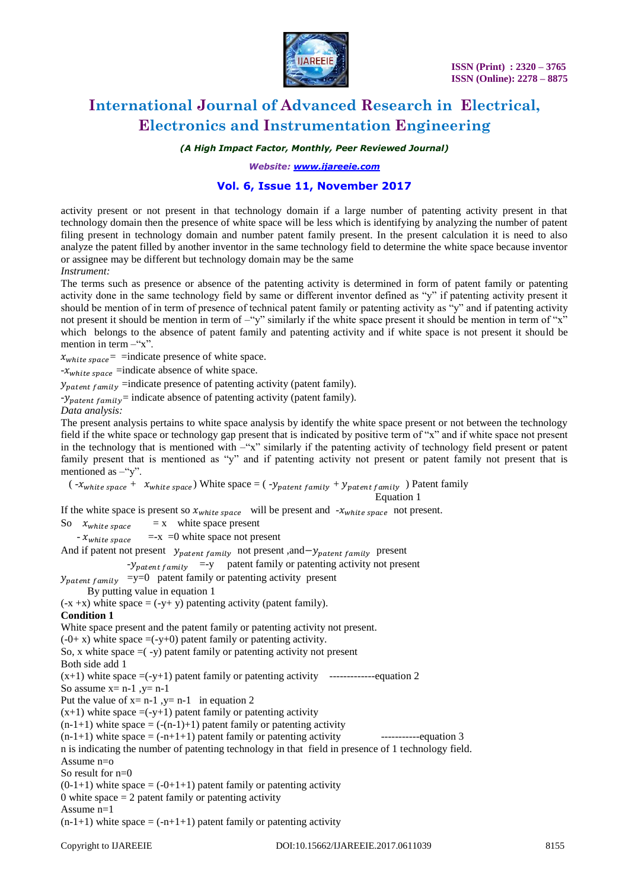

*(A High Impact Factor, Monthly, Peer Reviewed Journal)*

*Website: [www.ijareeie.com](http://www.ijareeie.com/)*

#### **Vol. 6, Issue 11, November 2017**

activity present or not present in that technology domain if a large number of patenting activity present in that technology domain then the presence of white space will be less which is identifying by analyzing the number of patent filing present in technology domain and number patent family present. In the present calculation it is need to also analyze the patent filled by another inventor in the same technology field to determine the white space because inventor or assignee may be different but technology domain may be the same

*Instrument:* 

The terms such as presence or absence of the patenting activity is determined in form of patent family or patenting activity done in the same technology field by same or different inventor defined as "y" if patenting activity present it should be mention of in term of presence of technical patent family or patenting activity as "y" and if patenting activity not present it should be mention in term of –"y" similarly if the white space present it should be mention in term of "x" which belongs to the absence of patent family and patenting activity and if white space is not present it should be mention in term  $-$ "x".

 $x_{white\ space}$  = indicate presence of white space.

 $-x_{white\ space}$  =indicate absence of white space.

 $y_{pattern\,family}$  =indicate presence of patenting activity (patent family).

 $-y_{pattern\; family}$  = indicate absence of patenting activity (patent family).

*Data analysis:*

The present analysis pertains to white space analysis by identify the white space present or not between the technology field if the white space or technology gap present that is indicated by positive term of "x" and if white space not present in the technology that is mentioned with  $-\alpha x$ " similarly if the patenting activity of technology field present or patent family present that is mentioned as "y" and if patenting activity not present or patent family not present that is mentioned as  $-$ "y".

 $(-x_{white\ space} + x_{white\ space})$  White space =  $(-y_{pattern\ family} + y_{pattern\ family})$  Patent family

Equation 1

If the white space is present so  $x_{white\ space}$  will be present and  $-x_{white\ space}$  not present.

So  $x_{white\ space}$  = x white space present

 $-x<sub>white</sub>  $\frac{1}{2}$  = -x =0 white space not present$ 

And if patent not present  $y_{pattern\,family}$  not present, and  $-y_{pattern\,family}$  present

 $-y$ <sub>patent family</sub> =-y patent family or patenting activity not present

 $y_{pattern\, family}$  =y=0 patent family or patenting activity present

By putting value in equation 1

 $(-x + x)$  white space  $= (-y + y)$  patenting activity (patent family).

**Condition 1** 

White space present and the patent family or patenting activity not present.

 $(-0+x)$  white space  $=(-y+0)$  patent family or patenting activity.

So,  $x$  white space  $=$  ( $-y$ ) patent family or patenting activity not present

Both side add 1

(x+1) white space =(-y+1) patent family or patenting activity -------------equation 2 So assume  $x = n-1$ ,  $y = n-1$ 

Put the value of  $x = n-1$ ,  $y = n-1$  in equation 2

 $(x+1)$  white space  $=(-y+1)$  patent family or patenting activity

 $(n-1+1)$  white space =  $(-(n-1)+1)$  patent family or patenting activity

(n-1+1) white space = (-n+1+1) patent family or patenting activity -----------equation 3

n is indicating the number of patenting technology in that field in presence of 1 technology field.

Assume n=o

So result for n=0

 $(0-1+1)$  white space =  $(-0+1+1)$  patent family or patenting activity

0 white space  $= 2$  patent family or patenting activity

Assume n=1

 $(n-1+1)$  white space =  $(-n+1+1)$  patent family or patenting activity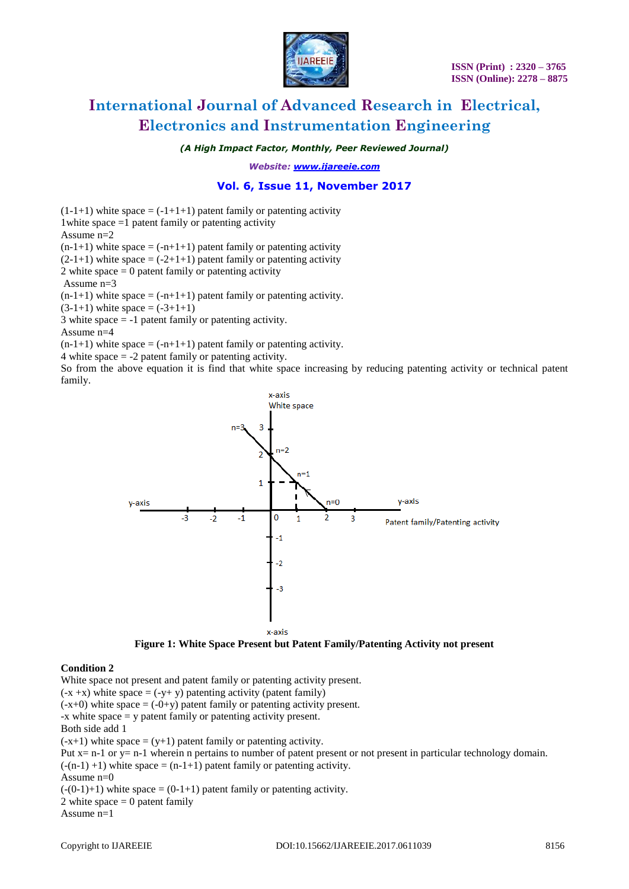

*(A High Impact Factor, Monthly, Peer Reviewed Journal)*

*Website: [www.ijareeie.com](http://www.ijareeie.com/)*

### **Vol. 6, Issue 11, November 2017**

 $(1-1+1)$  white space =  $(-1+1+1)$  patent family or patenting activity 1white space =1 patent family or patenting activity Assume  $n=2$ 

 $(n-1+1)$  white space =  $(-n+1+1)$  patent family or patenting activity

 $(2-1+1)$  white space =  $(-2+1+1)$  patent family or patenting activity

2 white space  $= 0$  patent family or patenting activity

Assume  $n=3$ 

 $(n-1+1)$  white space =  $(-n+1+1)$  patent family or patenting activity.

 $(3-1+1)$  white space =  $(-3+1+1)$ 

3 white space  $= -1$  patent family or patenting activity.

Assume n=4

 $(n-1+1)$  white space =  $(-n+1+1)$  patent family or patenting activity.

4 white space = -2 patent family or patenting activity.

So from the above equation it is find that white space increasing by reducing patenting activity or technical patent family.



**Figure 1: White Space Present but Patent Family/Patenting Activity not present**

#### **Condition 2**

White space not present and patent family or patenting activity present.  $(-x + x)$  white space =  $(-y + y)$  patenting activity (patent family)  $(-x+0)$  white space  $= (-0+y)$  patent family or patenting activity present. -x white space = y patent family or patenting activity present. Both side add 1  $(-x+1)$  white space =  $(y+1)$  patent family or patenting activity. Put x= n-1 or y= n-1 wherein n pertains to number of patent present or not present in particular technology domain.  $(-n-1) +1$ ) white space =  $(n-1+1)$  patent family or patenting activity. Assume  $n=0$  $(-(0-1)+1)$  white space =  $(0-1+1)$  patent family or patenting activity. 2 white space  $= 0$  patent family

Assume n=1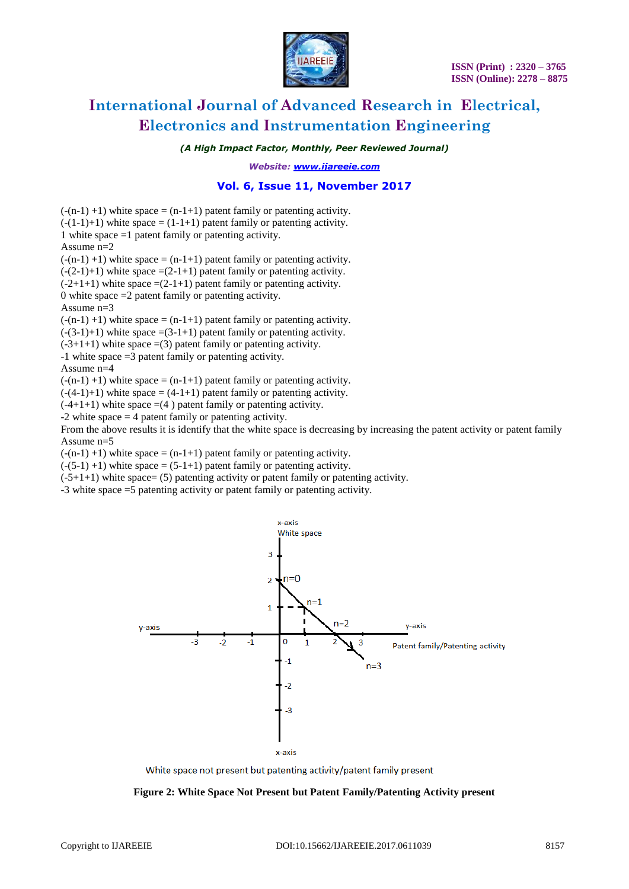

*(A High Impact Factor, Monthly, Peer Reviewed Journal)*

*Website: [www.ijareeie.com](http://www.ijareeie.com/)*

#### **Vol. 6, Issue 11, November 2017**

 $(-n-1) +1$ ) white space =  $(n-1+1)$  patent family or patenting activity.  $(-(1-1)+1)$  white space =  $(1-1+1)$  patent family or patenting activity. 1 white space =1 patent family or patenting activity. Assume n=2  $(-n-1) +1$ ) white space =  $(n-1+1)$  patent family or patenting activity.  $(-(2-1)+1)$  white space  $=(2-1+1)$  patent family or patenting activity.  $(-2+1+1)$  white space  $=(2-1+1)$  patent family or patenting activity. 0 white space =2 patent family or patenting activity. Assume  $n=3$  $(-n-1) +1$ ) white space =  $(n-1+1)$  patent family or patenting activity.

 $(-3-1)+1$ ) white space  $=(3-1+1)$  patent family or patenting activity.

 $(-3+1+1)$  white space  $=(3)$  patent family or patenting activity.

-1 white space =3 patent family or patenting activity.

Assume n=4

 $(-n-1) +1$ ) white space =  $(n-1+1)$  patent family or patenting activity.

 $(-(4-1)+1)$  white space =  $(4-1+1)$  patent family or patenting activity.

 $(-4+1+1)$  white space  $=(4)$  patent family or patenting activity.

-2 white space = 4 patent family or patenting activity.

From the above results it is identify that the white space is decreasing by increasing the patent activity or patent family Assume n=5

 $(-n-1) +1$ ) white space =  $(n-1+1)$  patent family or patenting activity.

 $(-(5-1) + 1)$  white space =  $(5-1+1)$  patent family or patenting activity.

 $(-5+1+1)$  white space= (5) patenting activity or patent family or patenting activity.

-3 white space =5 patenting activity or patent family or patenting activity.



White space not present but patenting activity/patent family present

#### **Figure 2: White Space Not Present but Patent Family/Patenting Activity present**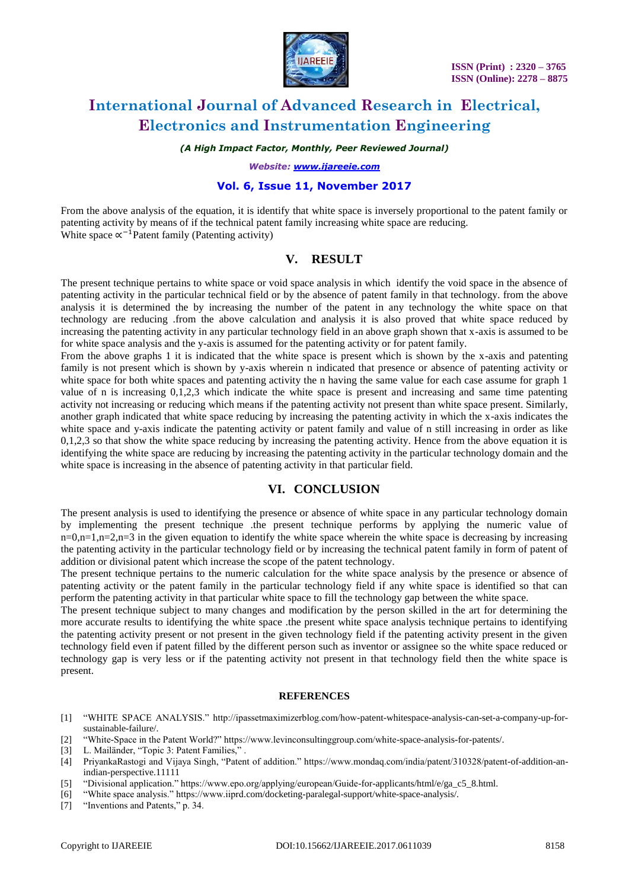

*(A High Impact Factor, Monthly, Peer Reviewed Journal)*

*Website: [www.ijareeie.com](http://www.ijareeie.com/)*

#### **Vol. 6, Issue 11, November 2017**

From the above analysis of the equation, it is identify that white space is inversely proportional to the patent family or patenting activity by means of if the technical patent family increasing white space are reducing. White space  $\propto^{-1}$  Patent family (Patenting activity)

## **V. RESULT**

The present technique pertains to white space or void space analysis in which identify the void space in the absence of patenting activity in the particular technical field or by the absence of patent family in that technology. from the above analysis it is determined the by increasing the number of the patent in any technology the white space on that technology are reducing .from the above calculation and analysis it is also proved that white space reduced by increasing the patenting activity in any particular technology field in an above graph shown that x-axis is assumed to be for white space analysis and the y-axis is assumed for the patenting activity or for patent family.

From the above graphs 1 it is indicated that the white space is present which is shown by the x-axis and patenting family is not present which is shown by y-axis wherein n indicated that presence or absence of patenting activity or white space for both white spaces and patenting activity the n having the same value for each case assume for graph 1 value of n is increasing 0,1,2,3 which indicate the white space is present and increasing and same time patenting activity not increasing or reducing which means if the patenting activity not present than white space present. Similarly, another graph indicated that white space reducing by increasing the patenting activity in which the x-axis indicates the white space and y-axis indicate the patenting activity or patent family and value of n still increasing in order as like 0,1,2,3 so that show the white space reducing by increasing the patenting activity. Hence from the above equation it is identifying the white space are reducing by increasing the patenting activity in the particular technology domain and the white space is increasing in the absence of patenting activity in that particular field.

### **VI. CONCLUSION**

The present analysis is used to identifying the presence or absence of white space in any particular technology domain by implementing the present technique .the present technique performs by applying the numeric value of  $n=0, n=1, n=2, n=3$  in the given equation to identify the white space wherein the white space is decreasing by increasing the patenting activity in the particular technology field or by increasing the technical patent family in form of patent of addition or divisional patent which increase the scope of the patent technology.

The present technique pertains to the numeric calculation for the white space analysis by the presence or absence of patenting activity or the patent family in the particular technology field if any white space is identified so that can perform the patenting activity in that particular white space to fill the technology gap between the white space.

The present technique subject to many changes and modification by the person skilled in the art for determining the more accurate results to identifying the white space .the present white space analysis technique pertains to identifying the patenting activity present or not present in the given technology field if the patenting activity present in the given technology field even if patent filled by the different person such as inventor or assignee so the white space reduced or technology gap is very less or if the patenting activity not present in that technology field then the white space is present.

#### **REFERENCES**

- [1] "WHITE SPACE ANALYSIS." http://ipassetmaximizerblog.com/how-patent-whitespace-analysis-can-set-a-company-up-forsustainable-failure/.
- [2] "White-Space in the Patent World?" https://www.levinconsultinggroup.com/white-space-analysis-for-patents/.
- [3] L. Mailänder, "Topic 3: Patent Families,".
- [4] PriyankaRastogi and Vijaya Singh, "Patent of addition." https://www.mondaq.com/india/patent/310328/patent-of-addition-anindian-perspective.11111
- [5] "Divisional application." https://www.epo.org/applying/european/Guide-for-applicants/html/e/ga\_c5\_8.html.
- [6] "White space analysis." https://www.iiprd.com/docketing-paralegal-support/white-space-analysis/.
- [7] "Inventions and Patents," p. 34.